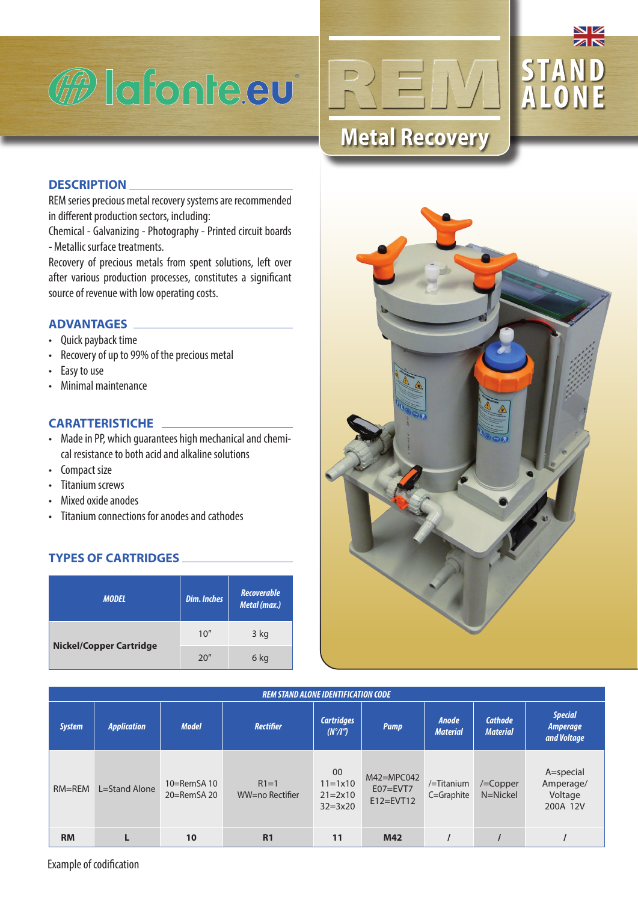





## **DESCRIPTION**

REM series precious metal recovery systems are recommended in different production sectors, including:

Chemical - Galvanizing - Photography - Printed circuit boards - Metallic surface treatments.

Recovery of precious metals from spent solutions, left over after various production processes, constitutes a significant source of revenue with low operating costs.

## **ADVANTAGES**

- Quick payback time
- Recovery of up to 99% of the precious metal
- Easy to use
- Minimal maintenance

# **CARATTERISTICHE**

- Made in PP, which guarantees high mechanical and chemical resistance to both acid and alkaline solutions
- Compact size
- Titanium screws
- Mixed oxide anodes
- Titanium connections for anodes and cathodes

# **TYPES OF CARTRIDGES**

| <b>MODEL</b>                   | <b>Dim. Inches</b> | Recoverable<br>Metal (max.) |
|--------------------------------|--------------------|-----------------------------|
|                                | 10''               | 3 kg                        |
| <b>Nickel/Copper Cartridge</b> | 20"                | 6 kg                        |



| <b>REM STAND ALONE IDENTIFICATION CODE</b> |                    |                                  |                           |                                                                    |                                               |                                      |                                   |                                                  |
|--------------------------------------------|--------------------|----------------------------------|---------------------------|--------------------------------------------------------------------|-----------------------------------------------|--------------------------------------|-----------------------------------|--------------------------------------------------|
| <b>System</b>                              | <b>Application</b> | <b>Model</b>                     | <b>Rectifier</b>          | <b>Cartridges</b><br><b>Pump</b><br>$(N^{\circ}/I^{\prime\prime})$ |                                               | <b>Anode</b><br><b>Material</b>      | <b>Cathode</b><br><b>Material</b> | <b>Special</b><br><b>Amperage</b><br>and Voltage |
| $RM = REM$                                 | L=Stand Alone      | $10=RemSA$ 10<br>$20 =$ RemSA 20 | $R1=1$<br>WW=no Rectifier | 00<br>$11 = 1 \times 10$<br>$21 = 2 \times 10$<br>$32 = 3x20$      | $M42 = MPCO42$<br>$E07 = EVT7$<br>$E12=EVT12$ | $/=\mathrm{T}$ itanium<br>C=Graphite | /=Copper<br>N=Nickel              | A=special<br>Amperage/<br>Voltage<br>200A 12V    |
| <b>RM</b>                                  |                    | 10                               | R <sub>1</sub>            | 11                                                                 | M42                                           |                                      |                                   |                                                  |

Example of codification